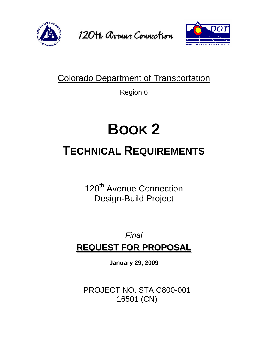



## Colorado Department of Transportation

Region 6

# **BOOK 2 TECHNICAL REQUIREMENTS**

120<sup>th</sup> Avenue Connection Design-Build Project

## *Final*  **REQUEST FOR PROPOSAL**

**January 29, 2009**

PROJECT NO. STA C800-001 16501 (CN)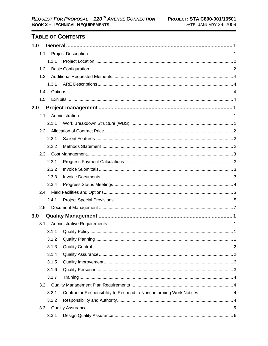### TABLE OF CONTENTS

| 1.0 |               |       |                                                                       |  |
|-----|---------------|-------|-----------------------------------------------------------------------|--|
|     | 1.1           |       |                                                                       |  |
|     |               | 1.1.1 |                                                                       |  |
|     | 1.2           |       |                                                                       |  |
|     | 1.3           |       |                                                                       |  |
|     |               | 1.3.1 |                                                                       |  |
|     | 1.4           |       |                                                                       |  |
|     | 1.5           |       |                                                                       |  |
| 2.0 |               |       |                                                                       |  |
|     | 2.1           |       |                                                                       |  |
|     |               | 2.1.1 |                                                                       |  |
|     | $2.2^{\circ}$ |       |                                                                       |  |
|     |               | 2.2.1 |                                                                       |  |
|     |               | 2.2.2 |                                                                       |  |
|     |               |       |                                                                       |  |
|     |               | 2.3.1 |                                                                       |  |
|     |               | 2.3.2 |                                                                       |  |
|     |               | 2.3.3 |                                                                       |  |
|     |               | 2.3.4 |                                                                       |  |
|     |               |       |                                                                       |  |
|     |               | 2.4.1 |                                                                       |  |
|     | 2.5           |       |                                                                       |  |
| 3.0 |               |       |                                                                       |  |
|     | 3.1           |       |                                                                       |  |
|     |               | 3.1.1 |                                                                       |  |
|     |               | 3.1.2 |                                                                       |  |
|     |               | 3.1.3 |                                                                       |  |
|     |               | 3.1.4 |                                                                       |  |
|     |               | 3.1.5 |                                                                       |  |
|     |               | 3.1.6 |                                                                       |  |
|     |               | 3.1.7 |                                                                       |  |
|     | 3.2           |       |                                                                       |  |
|     |               | 3.2.1 | Contractor Responsibility to Respond to Nonconforming Work Notices  4 |  |
|     |               | 3.2.2 |                                                                       |  |
|     | 3.3           |       |                                                                       |  |
|     |               | 3.3.1 |                                                                       |  |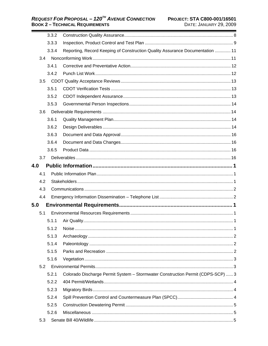|     | 3.3.2 |                                                                                 |
|-----|-------|---------------------------------------------------------------------------------|
|     | 3.3.3 |                                                                                 |
|     | 3.3.4 | Reporting, Record Keeping of Construction Quality Assurance Documentation  11   |
| 3.4 |       |                                                                                 |
|     | 3.4.1 |                                                                                 |
|     | 3.4.2 |                                                                                 |
| 3.5 |       |                                                                                 |
|     | 3.5.1 |                                                                                 |
|     | 3.5.2 |                                                                                 |
|     | 3.5.3 |                                                                                 |
| 3.6 |       |                                                                                 |
|     | 3.6.1 |                                                                                 |
|     | 3.6.2 |                                                                                 |
|     | 3.6.3 |                                                                                 |
|     | 3.6.4 |                                                                                 |
|     | 3.6.5 |                                                                                 |
| 3.7 |       |                                                                                 |
| 4.0 |       |                                                                                 |
| 4.1 |       |                                                                                 |
| 4.2 |       |                                                                                 |
| 4.3 |       |                                                                                 |
| 4.4 |       |                                                                                 |
| 5.0 |       |                                                                                 |
| 5.1 |       |                                                                                 |
|     | 5.1.1 |                                                                                 |
|     | 5.1.2 |                                                                                 |
|     | 5.1.3 |                                                                                 |
|     | 5.1.4 |                                                                                 |
|     | 5.1.5 |                                                                                 |
|     | 5.1.6 |                                                                                 |
| 5.2 |       |                                                                                 |
|     | 5.2.1 | Colorado Discharge Permit System - Stormwater Construction Permit (CDPS-SCP)  3 |
|     | 5.2.2 |                                                                                 |
|     | 5.2.3 |                                                                                 |
|     | 5.2.4 |                                                                                 |
|     | 5.2.5 |                                                                                 |
|     | 5.2.6 |                                                                                 |
| 5.3 |       |                                                                                 |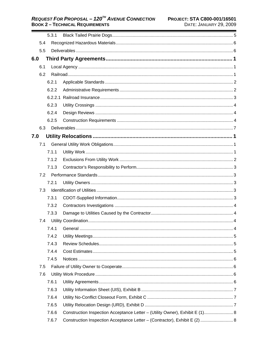|     |     | 5.3.1 |                                                                              |  |
|-----|-----|-------|------------------------------------------------------------------------------|--|
|     | 5.4 |       |                                                                              |  |
|     | 5.5 |       |                                                                              |  |
| 6.0 |     |       |                                                                              |  |
|     | 6.1 |       |                                                                              |  |
|     | 6.2 |       |                                                                              |  |
|     |     | 6.2.1 |                                                                              |  |
|     |     | 6.2.2 |                                                                              |  |
|     |     |       |                                                                              |  |
|     |     | 6.2.3 |                                                                              |  |
|     |     | 6.2.4 |                                                                              |  |
|     |     | 6.2.5 |                                                                              |  |
|     | 6.3 |       |                                                                              |  |
| 7.0 |     |       |                                                                              |  |
|     | 7.1 |       |                                                                              |  |
|     |     | 7.1.1 |                                                                              |  |
|     |     | 7.1.2 |                                                                              |  |
|     |     | 7.1.3 |                                                                              |  |
|     | 7.2 |       |                                                                              |  |
|     |     | 7.2.1 |                                                                              |  |
|     | 7.3 |       |                                                                              |  |
|     |     | 7.3.1 |                                                                              |  |
|     |     | 7.3.2 |                                                                              |  |
|     |     | 7.3.3 |                                                                              |  |
|     | 7.4 |       |                                                                              |  |
|     |     | 7.4.1 |                                                                              |  |
|     |     | 7.4.2 |                                                                              |  |
|     |     | 7.4.3 |                                                                              |  |
|     |     | 7.4.4 |                                                                              |  |
|     |     | 7.4.5 |                                                                              |  |
|     | 7.5 |       |                                                                              |  |
|     | 7.6 |       |                                                                              |  |
|     |     | 7.6.1 |                                                                              |  |
|     |     | 7.6.3 |                                                                              |  |
|     |     | 7.6.4 |                                                                              |  |
|     |     | 7.6.5 |                                                                              |  |
|     |     | 7.6.6 | Construction Inspection Acceptance Letter - (Utility Owner), Exhibit E (1) 8 |  |
|     |     | 7.6.7 | Construction Inspection Acceptance Letter - (Contractor), Exhibit E (2)  8   |  |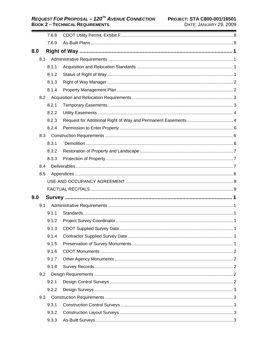|     | 7.6.8 |  |
|-----|-------|--|
|     | 7.6.9 |  |
| 8.0 |       |  |
| 8.1 |       |  |
|     | 8.1.1 |  |
|     | 8.1.2 |  |
|     | 8.1.3 |  |
|     | 8.1.4 |  |
|     |       |  |
|     | 8.2.1 |  |
|     | 8.2.2 |  |
|     | 8.2.3 |  |
|     | 8.2.4 |  |
| 8.3 |       |  |
|     | 8.3.1 |  |
|     | 8.3.2 |  |
|     | 8.3.3 |  |
| 8.4 |       |  |
| 8.5 |       |  |
|     |       |  |
|     |       |  |
| 9.0 |       |  |
| 9.1 |       |  |
|     | 9.1.1 |  |
|     | 9.1.2 |  |
|     | 9.1.3 |  |
|     | 9.1.4 |  |
|     | 9.1.5 |  |
|     | 9.1.6 |  |
|     | 9.1.7 |  |
|     | 9.1.8 |  |
| 9.2 |       |  |
|     | 9.2.1 |  |
|     | 9.2.2 |  |
| 9.3 |       |  |
|     | 9.3.1 |  |
|     | 9.3.2 |  |
|     | 9.3.3 |  |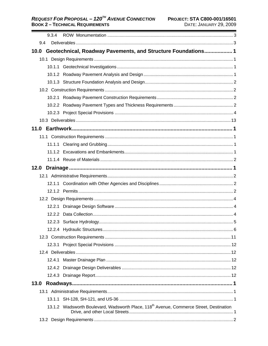#### REQUEST FOR PROPOSAL - 120<sup>TH</sup> AVENUE CONNECTION PROJECT: STA C800-001/16501 **BOOK 2 - TECHNICAL REQUIREMENTS**

| 9.3.4 |                                                                                                     |
|-------|-----------------------------------------------------------------------------------------------------|
| 9.4   |                                                                                                     |
|       | 10.0 Geotechnical, Roadway Pavements, and Structure Foundations 1                                   |
|       |                                                                                                     |
|       |                                                                                                     |
|       |                                                                                                     |
|       |                                                                                                     |
|       |                                                                                                     |
|       |                                                                                                     |
|       |                                                                                                     |
|       |                                                                                                     |
|       |                                                                                                     |
|       |                                                                                                     |
|       |                                                                                                     |
|       |                                                                                                     |
|       |                                                                                                     |
|       |                                                                                                     |
|       |                                                                                                     |
|       |                                                                                                     |
|       |                                                                                                     |
|       |                                                                                                     |
|       |                                                                                                     |
|       |                                                                                                     |
|       |                                                                                                     |
|       |                                                                                                     |
|       |                                                                                                     |
|       |                                                                                                     |
|       |                                                                                                     |
|       |                                                                                                     |
|       |                                                                                                     |
|       |                                                                                                     |
|       |                                                                                                     |
| 13.0  |                                                                                                     |
|       |                                                                                                     |
|       |                                                                                                     |
|       | 13.1.2 Wadsworth Boulevard, Wadsworth Place, 118 <sup>th</sup> Avenue, Commerce Street, Destination |
|       |                                                                                                     |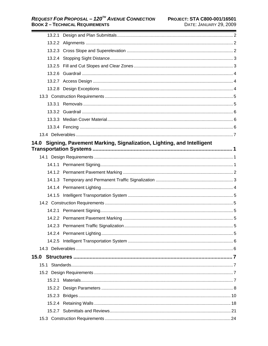| 14.0 Signing, Pavement Marking, Signalization, Lighting, and Intelligent |  |
|--------------------------------------------------------------------------|--|
|                                                                          |  |
|                                                                          |  |
|                                                                          |  |
|                                                                          |  |
|                                                                          |  |
|                                                                          |  |
|                                                                          |  |
|                                                                          |  |
|                                                                          |  |
|                                                                          |  |
|                                                                          |  |
|                                                                          |  |
|                                                                          |  |
|                                                                          |  |
|                                                                          |  |
|                                                                          |  |
|                                                                          |  |
|                                                                          |  |
|                                                                          |  |
|                                                                          |  |
|                                                                          |  |
|                                                                          |  |
|                                                                          |  |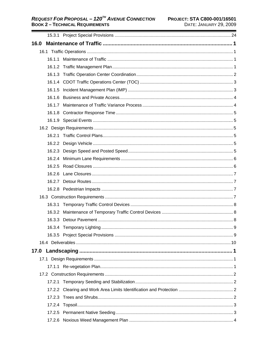| 16.0 |        |  |
|------|--------|--|
|      |        |  |
|      |        |  |
|      |        |  |
|      |        |  |
|      |        |  |
|      |        |  |
|      |        |  |
|      |        |  |
|      |        |  |
|      |        |  |
|      |        |  |
|      |        |  |
|      |        |  |
|      |        |  |
|      |        |  |
|      |        |  |
|      |        |  |
|      |        |  |
|      |        |  |
|      |        |  |
|      | 16.3.1 |  |
|      |        |  |
|      |        |  |
|      |        |  |
|      |        |  |
|      |        |  |
|      |        |  |
|      |        |  |
|      |        |  |
|      |        |  |
|      |        |  |
|      |        |  |
|      |        |  |
|      |        |  |
|      |        |  |
|      |        |  |